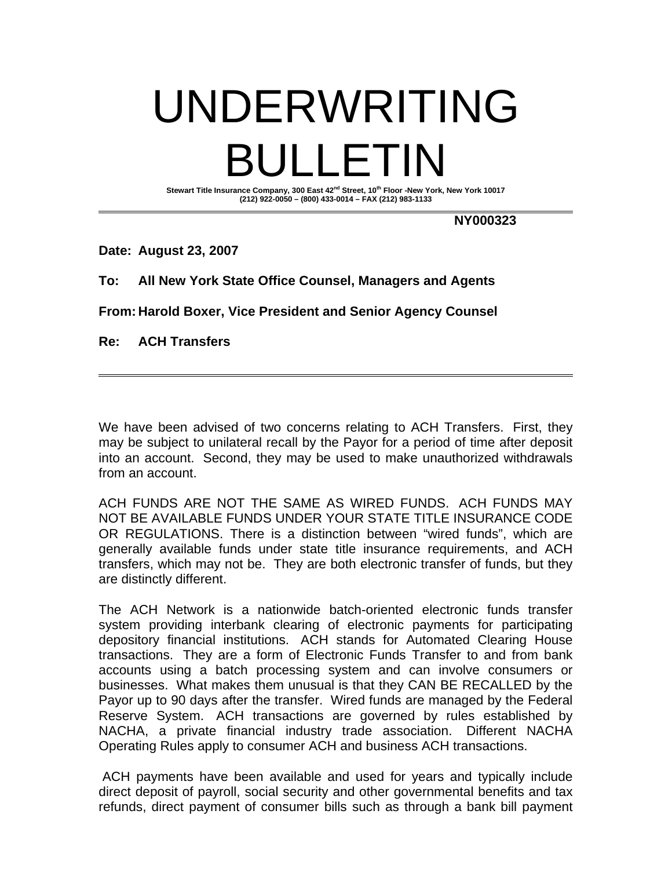## UNDERWRITING BULLETIN Stewart Title Insurance Company, 300 East 42<sup>nd</sup> Street, 10<sup>th</sup> Floor -New York, New York 10017

**(212) 922-0050 – (800) 433-0014 – FAX (212) 983-1133** 

**NY000323** 

**Date: August 23, 2007** 

**To: All New York State Office Counsel, Managers and Agents** 

**From: Harold Boxer, Vice President and Senior Agency Counsel** 

**Re: ACH Transfers** 

We have been advised of two concerns relating to ACH Transfers. First, they may be subject to unilateral recall by the Payor for a period of time after deposit into an account. Second, they may be used to make unauthorized withdrawals from an account.

ACH FUNDS ARE NOT THE SAME AS WIRED FUNDS. ACH FUNDS MAY NOT BE AVAILABLE FUNDS UNDER YOUR STATE TITLE INSURANCE CODE OR REGULATIONS. There is a distinction between "wired funds", which are generally available funds under state title insurance requirements, and ACH transfers, which may not be. They are both electronic transfer of funds, but they are distinctly different.

The ACH Network is a nationwide batch-oriented electronic funds transfer system providing interbank clearing of electronic payments for participating depository financial institutions. ACH stands for Automated Clearing House transactions. They are a form of Electronic Funds Transfer to and from bank accounts using a batch processing system and can involve consumers or businesses. What makes them unusual is that they CAN BE RECALLED by the Payor up to 90 days after the transfer. Wired funds are managed by the Federal Reserve System. ACH transactions are governed by rules established by NACHA, a private financial industry trade association. Different NACHA Operating Rules apply to consumer ACH and business ACH transactions.

 ACH payments have been available and used for years and typically include direct deposit of payroll, social security and other governmental benefits and tax refunds, direct payment of consumer bills such as through a bank bill payment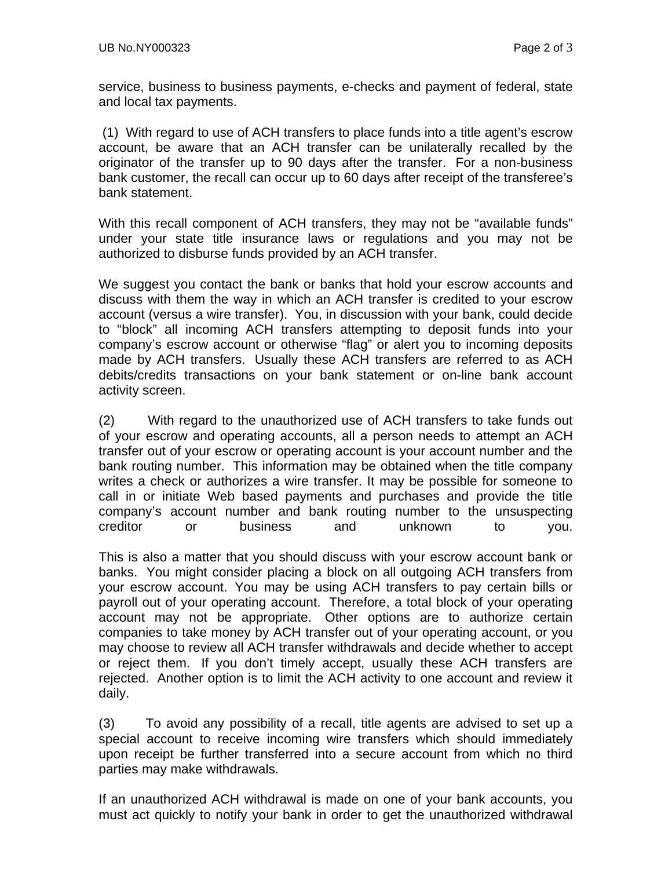service, business to business payments, e-checks and payment of federal, state and local tax payments.

 (1) With regard to use of ACH transfers to place funds into a title agent's escrow account, be aware that an ACH transfer can be unilaterally recalled by the originator of the transfer up to 90 days after the transfer. For a non-business bank customer, the recall can occur up to 60 days after receipt of the transferee's bank statement.

With this recall component of ACH transfers, they may not be "available funds" under your state title insurance laws or regulations and you may not be authorized to disburse funds provided by an ACH transfer.

We suggest you contact the bank or banks that hold your escrow accounts and discuss with them the way in which an ACH transfer is credited to your escrow account (versus a wire transfer). You, in discussion with your bank, could decide to "block" all incoming ACH transfers attempting to deposit funds into your company's escrow account or otherwise "flag" or alert you to incoming deposits made by ACH transfers. Usually these ACH transfers are referred to as ACH debits/credits transactions on your bank statement or on-line bank account activity screen.

(2) With regard to the unauthorized use of ACH transfers to take funds out of your escrow and operating accounts, all a person needs to attempt an ACH transfer out of your escrow or operating account is your account number and the bank routing number. This information may be obtained when the title company writes a check or authorizes a wire transfer. It may be possible for someone to call in or initiate Web based payments and purchases and provide the title company's account number and bank routing number to the unsuspecting creditor or business and unknown to you.

This is also a matter that you should discuss with your escrow account bank or banks. You might consider placing a block on all outgoing ACH transfers from your escrow account. You may be using ACH transfers to pay certain bills or payroll out of your operating account. Therefore, a total block of your operating account may not be appropriate. Other options are to authorize certain companies to take money by ACH transfer out of your operating account, or you may choose to review all ACH transfer withdrawals and decide whether to accept or reject them. If you don't timely accept, usually these ACH transfers are rejected. Another option is to limit the ACH activity to one account and review it daily.

(3) To avoid any possibility of a recall, title agents are advised to set up a special account to receive incoming wire transfers which should immediately upon receipt be further transferred into a secure account from which no third parties may make withdrawals.

If an unauthorized ACH withdrawal is made on one of your bank accounts, you must act quickly to notify your bank in order to get the unauthorized withdrawal